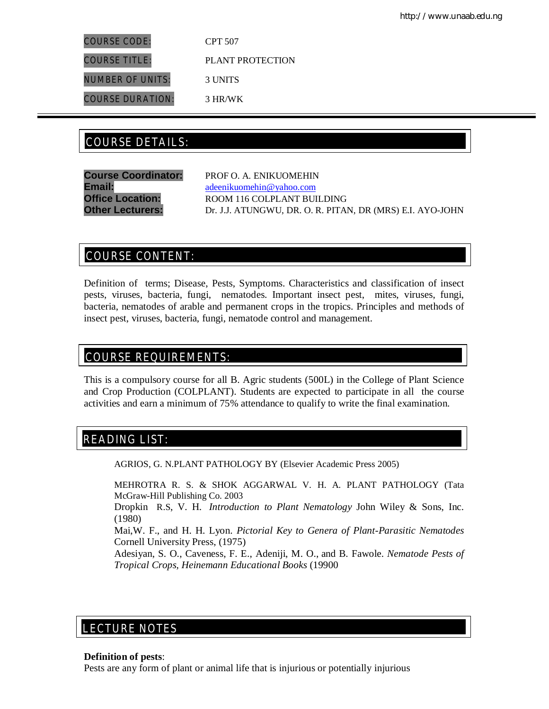COURSE CODE: CPT 507 COURSE TITLE: PLANT PROTECTION NUMBER OF UNITS: 3 UNITS COURSE DURATION: 3 HR/WK

# COURSE DETAILS: COURSE DETAILS:

**Course Coordinator:** PROF O. A. ENIKUOMEHIN **Email:** adeenikuomehin@yahoo.com **Office Location:** ROOM 116 COLPLANT BUILDING **Other Lecturers:** Dr. J.J. ATUNGWU, DR. O. R. PITAN, DR (MRS) E.I. AYO-JOHN

# COURSE CONTENT:

Definition of terms; Disease, Pests, Symptoms. Characteristics and classification of insect pests, viruses, bacteria, fungi, nematodes. Important insect pest, mites, viruses, fungi, bacteria, nematodes of arable and permanent crops in the tropics. Principles and methods of insect pest, viruses, bacteria, fungi, nematode control and management.

# COURSE REQUIREMENTS:

This is a compulsory course for all B. Agric students (500L) in the College of Plant Science and Crop Production (COLPLANT). Students are expected to participate in all the course activities and earn a minimum of 75% attendance to qualify to write the final examination.

# READING LIST:

AGRIOS, G. N.PLANT PATHOLOGY BY (Elsevier Academic Press 2005)

MEHROTRA R. S. & SHOK AGGARWAL V. H. A. PLANT PATHOLOGY (Tata McGraw-Hill Publishing Co. 2003

Dropkin R.S, V. H. *Introduction to Plant Nematology* John Wiley & Sons, Inc. (1980)

Mai,W. F., and H. H. Lyon. *Pictorial Key to Genera of Plant-Parasitic Nematodes*  Cornell University Press, (1975)

Adesiyan, S. O., Caveness, F. E., Adeniji, M. O., and B. Fawole. *Nematode Pests of Tropical Crops, Heinemann Educational Books* (19900

# LECTURE NOTES

## **Definition of pests**:

E

Pests are any form of plant or animal life that is injurious or potentially injurious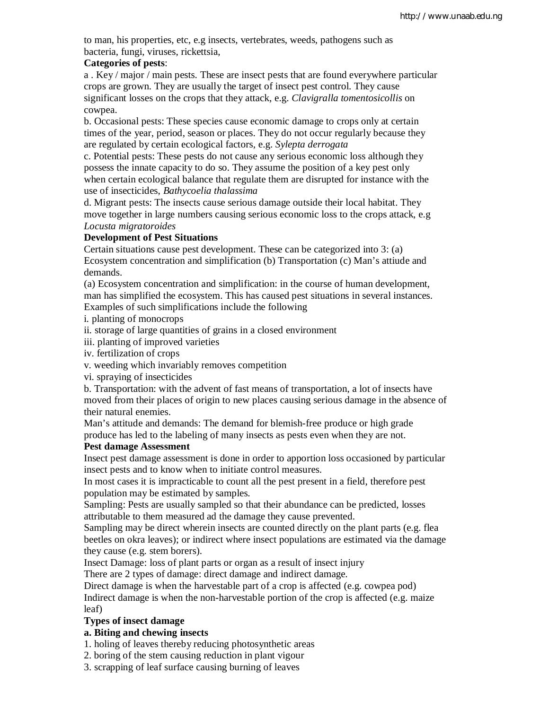to man, his properties, etc, e.g insects, vertebrates, weeds, pathogens such as bacteria, fungi, viruses, rickettsia,

## **Categories of pests**:

a . Key / major / main pests. These are insect pests that are found everywhere particular crops are grown. They are usually the target of insect pest control. They cause significant losses on the crops that they attack, e.g. *Clavigralla tomentosicollis* on cowpea.

b. Occasional pests: These species cause economic damage to crops only at certain times of the year, period, season or places. They do not occur regularly because they are regulated by certain ecological factors, e.g. *Sylepta derrogata*

c. Potential pests: These pests do not cause any serious economic loss although they possess the innate capacity to do so. They assume the position of a key pest only when certain ecological balance that regulate them are disrupted for instance with the use of insecticides, *Bathycoelia thalassima*

d. Migrant pests: The insects cause serious damage outside their local habitat. They move together in large numbers causing serious economic loss to the crops attack, e.g *Locusta migratoroides*

## **Development of Pest Situations**

Certain situations cause pest development. These can be categorized into 3: (a) Ecosystem concentration and simplification (b) Transportation (c) Man's attiude and demands.

(a) Ecosystem concentration and simplification: in the course of human development, man has simplified the ecosystem. This has caused pest situations in several instances. Examples of such simplifications include the following

i. planting of monocrops

ii. storage of large quantities of grains in a closed environment

iii. planting of improved varieties

iv. fertilization of crops

v. weeding which invariably removes competition

vi. spraying of insecticides

b. Transportation: with the advent of fast means of transportation, a lot of insects have moved from their places of origin to new places causing serious damage in the absence of their natural enemies.

Man's attitude and demands: The demand for blemish-free produce or high grade produce has led to the labeling of many insects as pests even when they are not.

## **Pest damage Assessment**

Insect pest damage assessment is done in order to apportion loss occasioned by particular insect pests and to know when to initiate control measures.

In most cases it is impracticable to count all the pest present in a field, therefore pest population may be estimated by samples.

Sampling: Pests are usually sampled so that their abundance can be predicted, losses attributable to them measured ad the damage they cause prevented.

Sampling may be direct wherein insects are counted directly on the plant parts (e.g. flea beetles on okra leaves); or indirect where insect populations are estimated via the damage they cause (e.g. stem borers).

Insect Damage: loss of plant parts or organ as a result of insect injury

There are 2 types of damage: direct damage and indirect damage.

Direct damage is when the harvestable part of a crop is affected (e.g. cowpea pod)

Indirect damage is when the non-harvestable portion of the crop is affected (e.g. maize leaf)

## **Types of insect damage**

## **a. Biting and chewing insects**

1. holing of leaves thereby reducing photosynthetic areas

2. boring of the stem causing reduction in plant vigour

3. scrapping of leaf surface causing burning of leaves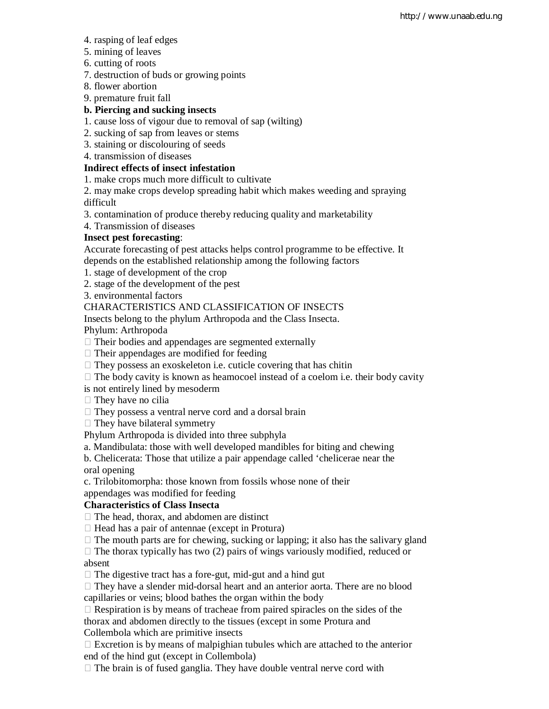- 4. rasping of leaf edges
- 5. mining of leaves
- 6. cutting of roots
- 7. destruction of buds or growing points
- 8. flower abortion
- 9. premature fruit fall

## **b. Piercing and sucking insects**

- 1. cause loss of vigour due to removal of sap (wilting)
- 2. sucking of sap from leaves or stems
- 3. staining or discolouring of seeds
- 4. transmission of diseases

## **Indirect effects of insect infestation**

- 1. make crops much more difficult to cultivate
- 2. may make crops develop spreading habit which makes weeding and spraying difficult
- 3. contamination of produce thereby reducing quality and marketability
- 4. Transmission of diseases

## **Insect pest forecasting**:

Accurate forecasting of pest attacks helps control programme to be effective. It depends on the established relationship among the following factors

- 1. stage of development of the crop
- 2. stage of the development of the pest
- 3. environmental factors

## CHARACTERISTICS AND CLASSIFICATION OF INSECTS

Insects belong to the phylum Arthropoda and the Class Insecta.

Phylum: Arthropoda

- $\Box$  Their bodies and appendages are segmented externally
- $\Box$  Their appendages are modified for feeding
- $\Box$  They possess an exoskeleton i.e. cuticle covering that has chitin
- $\Box$  The body cavity is known as heamocoel instead of a coelom i.e. their body cavity
- is not entirely lined by mesoderm
- $\Box$  They have no cilia
- $\Box$  They possess a ventral nerve cord and a dorsal brain
- $\Box$  They have bilateral symmetry

Phylum Arthropoda is divided into three subphyla

a. Mandibulata: those with well developed mandibles for biting and chewing

b. Chelicerata: Those that utilize a pair appendage called 'chelicerae near the oral opening

c. Trilobitomorpha: those known from fossils whose none of their

appendages was modified for feeding

## **Characteristics of Class Insecta**

 $\Box$  The head, thorax, and abdomen are distinct

- $\Box$  Head has a pair of antennae (except in Protura)
- $\Box$  The mouth parts are for chewing, sucking or lapping; it also has the salivary gland

 $\Box$  The thorax typically has two (2) pairs of wings variously modified, reduced or absent

 $\Box$  The digestive tract has a fore-gut, mid-gut and a hind gut

 $\Box$  They have a slender mid-dorsal heart and an anterior aorta. There are no blood capillaries or veins; blood bathes the organ within the body

 $\Box$  Respiration is by means of tracheae from paired spiracles on the sides of the thorax and abdomen directly to the tissues (except in some Protura and Collembola which are primitive insects

 $\Box$  Excretion is by means of malpighian tubules which are attached to the anterior end of the hind gut (except in Collembola)

 $\Box$  The brain is of fused ganglia. They have double ventral nerve cord with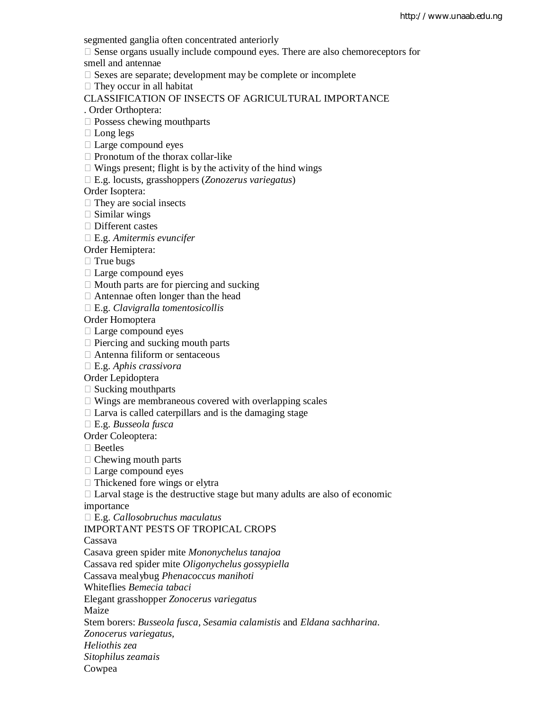segmented ganglia often concentrated anteriorly

 $\Box$  Sense organs usually include compound eyes. There are also chemoreceptors for smell and antennae

 $\Box$  Sexes are separate; development may be complete or incomplete

 $\Box$  They occur in all habitat

CLASSIFICATION OF INSECTS OF AGRICULTURAL IMPORTANCE

. Order Orthoptera:

- $\square$  Possess chewing mouthparts
- □ Long legs
- Large compound eyes
- $\Box$  Pronotum of the thorax collar-like
- $\Box$  Wings present; flight is by the activity of the hind wings

E.g. locusts, grasshoppers (*Zonozerus variegatus*)

Order Isoptera:

- $\Box$  They are social insects
- $\Box$  Similar wings
- □ Different castes

E.g. *Amitermis evuncifer*

Order Hemiptera:

 $\Box$  True bugs

- □ Large compound eyes
- $\Box$  Mouth parts are for piercing and sucking
- Antennae often longer than the head
- E.g. *Clavigralla tomentosicollis*

Order Homoptera

- $\Box$  Large compound eyes
- $\Box$  Piercing and sucking mouth parts
- Antenna filiform or sentaceous
- E.g. *Aphis crassivora*

Order Lepidoptera

- $\square$  Sucking mouthparts
- $\Box$  Wings are membraneous covered with overlapping scales
- $\Box$  Larva is called caterpillars and is the damaging stage

E.g. *Busseola fusca*

Order Coleoptera:

□ Beetles

- $\Box$  Chewing mouth parts
- Large compound eyes
- $\Box$  Thickened fore wings or elytra
- $\Box$  Larval stage is the destructive stage but many adults are also of economic

importance

E.g. *Callosobruchus maculatus*

IMPORTANT PESTS OF TROPICAL CROPS

Cassava

Casava green spider mite *Mononychelus tanajoa*

Cassava red spider mite *Oligonychelus gossypiella*

Cassava mealybug *Phenacoccus manihoti*

Whiteflies *Bemecia tabaci*

Elegant grasshopper *Zonocerus variegatus*

Maize

Stem borers: *Busseola fusca, Sesamia calamistis* and *Eldana sachharina.*

*Zonocerus variegatus,*

*Heliothis zea*

*Sitophilus zeamais*

Cowpea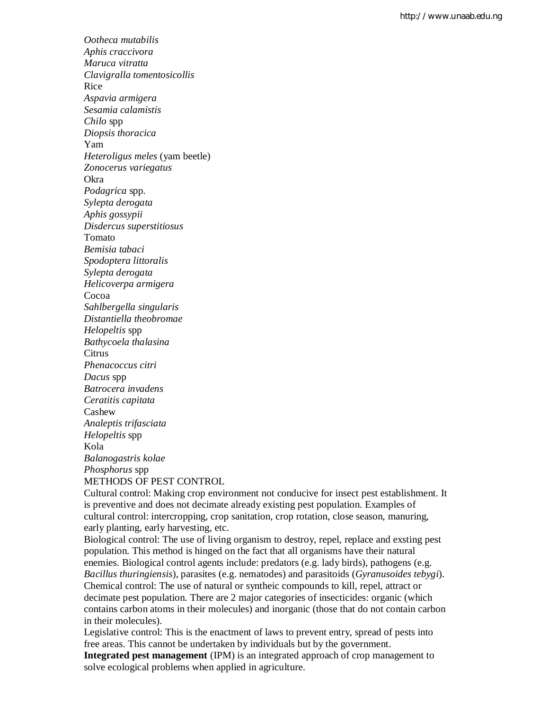*Ootheca mutabilis Aphis craccivora Maruca vitratta Clavigralla tomentosicollis* Rice *Aspavia armigera Sesamia calamistis Chilo* spp *Diopsis thoracica* Yam *Heteroligus meles* (yam beetle) *Zonocerus variegatus* Okra *Podagrica* spp. *Sylepta derogata Aphis gossypii Disdercus superstitiosus* Tomato *Bemisia tabaci Spodoptera littoralis Sylepta derogata Helicoverpa armigera* Cocoa *Sahlbergella singularis Distantiella theobromae Helopeltis* spp *Bathycoela thalasina* **Citrus** *Phenacoccus citri Dacus* spp *Batrocera invadens Ceratitis capitata* Cashew *Analeptis trifasciata Helopeltis* spp Kola *Balanogastris kolae Phosphorus* spp METHODS OF PEST CONTROL

Cultural control: Making crop environment not conducive for insect pest establishment. It is preventive and does not decimate already existing pest population. Examples of cultural control: intercropping, crop sanitation, crop rotation, close season, manuring, early planting, early harvesting, etc.

Biological control: The use of living organism to destroy, repel, replace and exsting pest population. This method is hinged on the fact that all organisms have their natural enemies. Biological control agents include: predators (e.g. lady birds), pathogens (e.g. *Bacillus thuringiensis*), parasites (e.g. nematodes) and parasitoids (*Gyranusoides tebygi*). Chemical control: The use of natural or syntheic compounds to kill, repel, attract or decimate pest population. There are 2 major categories of insecticides: organic (which contains carbon atoms in their molecules) and inorganic (those that do not contain carbon in their molecules).

Legislative control: This is the enactment of laws to prevent entry, spread of pests into free areas. This cannot be undertaken by individuals but by the government.

**Integrated pest management** (IPM) is an integrated approach of crop management to solve ecological problems when applied in agriculture.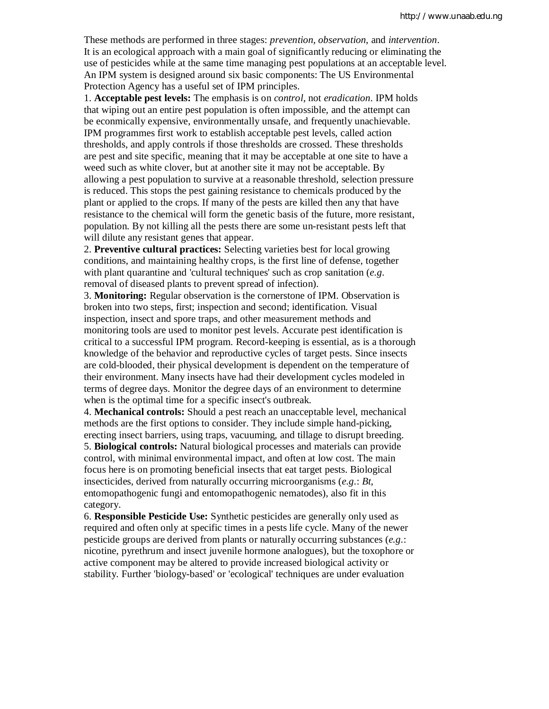These methods are performed in three stages: *prevention*, *observation*, and *intervention*. It is an ecological approach with a main goal of significantly reducing or eliminating the use of pesticides while at the same time managing pest populations at an acceptable level. An IPM system is designed around six basic components: The US Environmental Protection Agency has a useful set of IPM principles.

1. **Acceptable pest levels:** The emphasis is on *control*, not *eradication*. IPM holds that wiping out an entire pest population is often impossible, and the attempt can be econmically expensive, environmentally unsafe, and frequently unachievable. IPM programmes first work to establish acceptable pest levels, called action thresholds, and apply controls if those thresholds are crossed. These thresholds are pest and site specific, meaning that it may be acceptable at one site to have a weed such as white clover, but at another site it may not be acceptable. By allowing a pest population to survive at a reasonable threshold, selection pressure is reduced. This stops the pest gaining resistance to chemicals produced by the plant or applied to the crops. If many of the pests are killed then any that have resistance to the chemical will form the genetic basis of the future, more resistant, population. By not killing all the pests there are some un-resistant pests left that will dilute any resistant genes that appear.

2. **Preventive cultural practices:** Selecting varieties best for local growing conditions, and maintaining healthy crops, is the first line of defense, together with plant quarantine and 'cultural techniques' such as crop sanitation (*e.g.* removal of diseased plants to prevent spread of infection).

3. **Monitoring:** Regular observation is the cornerstone of IPM. Observation is broken into two steps, first; inspection and second; identification. Visual inspection, insect and spore traps, and other measurement methods and monitoring tools are used to monitor pest levels. Accurate pest identification is critical to a successful IPM program. Record-keeping is essential, as is a thorough knowledge of the behavior and reproductive cycles of target pests. Since insects are cold-blooded, their physical development is dependent on the temperature of their environment. Many insects have had their development cycles modeled in terms of degree days. Monitor the degree days of an environment to determine when is the optimal time for a specific insect's outbreak.

4. **Mechanical controls:** Should a pest reach an unacceptable level, mechanical methods are the first options to consider. They include simple hand-picking, erecting insect barriers, using traps, vacuuming, and tillage to disrupt breeding. 5. **Biological controls:** Natural biological processes and materials can provide control, with minimal environmental impact, and often at low cost. The main focus here is on promoting beneficial insects that eat target pests. Biological insecticides, derived from naturally occurring microorganisms (*e.g.*: *Bt*, entomopathogenic fungi and entomopathogenic nematodes), also fit in this category.

6. **Responsible Pesticide Use:** Synthetic pesticides are generally only used as required and often only at specific times in a pests life cycle. Many of the newer pesticide groups are derived from plants or naturally occurring substances (*e.g.*: nicotine, pyrethrum and insect juvenile hormone analogues), but the toxophore or active component may be altered to provide increased biological activity or stability. Further 'biology-based' or 'ecological' techniques are under evaluation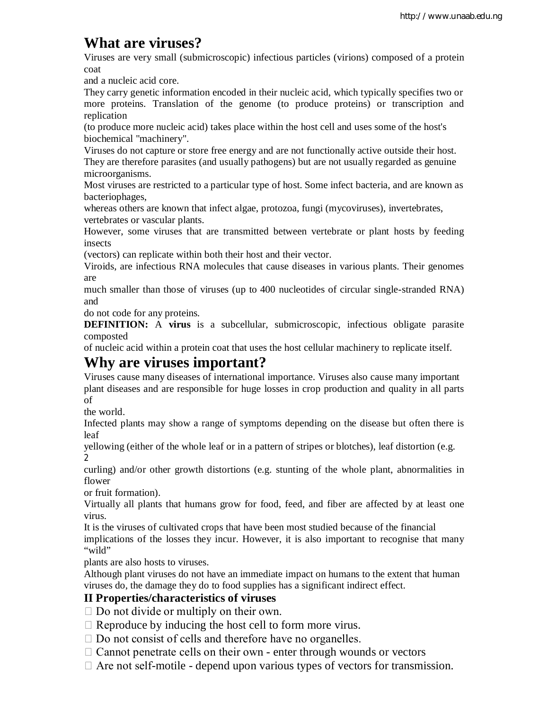# **What are viruses?**

Viruses are very small (submicroscopic) infectious particles (virions) composed of a protein coat

and a nucleic acid core.

They carry genetic information encoded in their nucleic acid, which typically specifies two or more proteins. Translation of the genome (to produce proteins) or transcription and replication

(to produce more nucleic acid) takes place within the host cell and uses some of the host's biochemical "machinery".

Viruses do not capture or store free energy and are not functionally active outside their host. They are therefore parasites (and usually pathogens) but are not usually regarded as genuine microorganisms.

Most viruses are restricted to a particular type of host. Some infect bacteria, and are known as bacteriophages,

whereas others are known that infect algae, protozoa, fungi (mycoviruses), invertebrates, vertebrates or vascular plants.

However, some viruses that are transmitted between vertebrate or plant hosts by feeding insects

(vectors) can replicate within both their host and their vector.

Viroids, are infectious RNA molecules that cause diseases in various plants. Their genomes are

much smaller than those of viruses (up to 400 nucleotides of circular single-stranded RNA) and

do not code for any proteins.

**DEFINITION:** A **virus** is a subcellular, submicroscopic, infectious obligate parasite composted

of nucleic acid within a protein coat that uses the host cellular machinery to replicate itself.

# **Why are viruses important?**

Viruses cause many diseases of international importance. Viruses also cause many important plant diseases and are responsible for huge losses in crop production and quality in all parts of

the world.

Infected plants may show a range of symptoms depending on the disease but often there is leaf

yellowing (either of the whole leaf or in a pattern of stripes or blotches), leaf distortion (e.g.  $\overline{2}$ 

curling) and/or other growth distortions (e.g. stunting of the whole plant, abnormalities in flower

or fruit formation).

Virtually all plants that humans grow for food, feed, and fiber are affected by at least one virus.

It is the viruses of cultivated crops that have been most studied because of the financial implications of the losses they incur. However, it is also important to recognise that many "wild"

plants are also hosts to viruses.

Although plant viruses do not have an immediate impact on humans to the extent that human viruses do, the damage they do to food supplies has a significant indirect effect.

## **II Properties/characteristics of viruses**

 $\Box$  Do not divide or multiply on their own.

 $\Box$  Reproduce by inducing the host cell to form more virus.

 $\Box$  Do not consist of cells and therefore have no organelles.

 $\Box$  Cannot penetrate cells on their own - enter through wounds or vectors

 $\Box$  Are not self-motile - depend upon various types of vectors for transmission.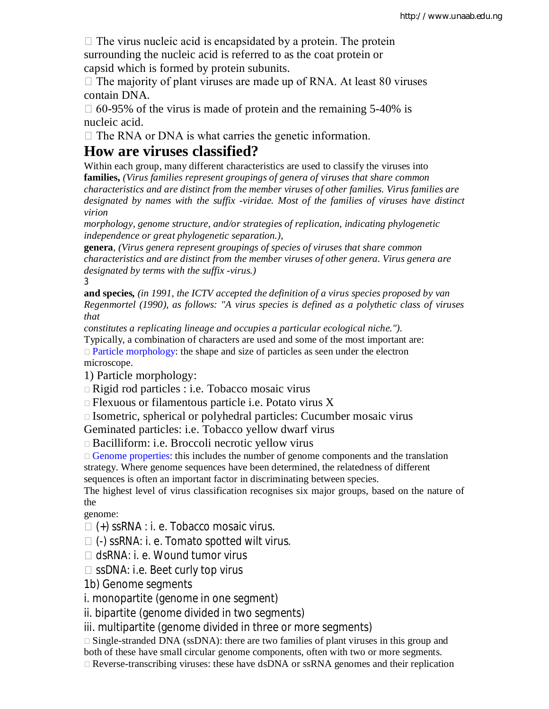$\Box$  The virus nucleic acid is encapsidated by a protein. The protein surrounding the nucleic acid is referred to as the coat protein or capsid which is formed by protein subunits.

 $\Box$  The majority of plant viruses are made up of RNA. At least 80 viruses contain DNA.

 $\Box$  60-95% of the virus is made of protein and the remaining 5-40% is nucleic acid.

 $\Box$  The RNA or DNA is what carries the genetic information.

# **How are viruses classified?**

Within each group, many different characteristics are used to classify the viruses into **families,** *(Virus families represent groupings of genera of viruses that share common characteristics and are distinct from the member viruses of other families. Virus families are designated by names with the suffix -viridae. Most of the families of viruses have distinct virion*

*morphology, genome structure, and/or strategies of replication, indicating phylogenetic independence or great phylogenetic separation.),*

**genera**, *(Virus genera represent groupings of species of viruses that share common characteristics and are distinct from the member viruses of other genera. Virus genera are designated by terms with the suffix -virus.)* 3

**and species***, (in 1991, the ICTV accepted the definition of a virus species proposed by van Regenmortel (1990), as follows: "A virus species is defined as a polythetic class of viruses that*

*constitutes a replicating lineage and occupies a particular ecological niche.").* Typically, a combination of characters are used and some of the most important are:  $\Box$  Particle morphology: the shape and size of particles as seen under the electron microscope.

1) Particle morphology:

Rigid rod particles : i.e. Tobacco mosaic virus

 $\Box$  Flexuous or filamentous particle i.e. Potato virus X

 $\Box$  Isometric, spherical or polyhedral particles: Cucumber mosaic virus

Geminated particles: i.e. Tobacco yellow dwarf virus

Bacilliform: i.e. Broccoli necrotic yellow virus

 $\Box$  Genome properties: this includes the number of genome components and the translation strategy. Where genome sequences have been determined, the relatedness of different sequences is often an important factor in discriminating between species.

The highest level of virus classification recognises six major groups, based on the nature of the

genome:

 $\Box$  (+) ssRNA : i. e. Tobacco mosaic virus.

 $\Box$  (-) ssRNA: i. e. Tomato spotted wilt virus.

□ dsRNA: i. e. Wound tumor virus

 $\square$  ssDNA: i.e. Beet curly top virus

1b) Genome segments

i. monopartite (genome in one segment)

ii. bipartite (genome divided in two segments)

iii. multipartite (genome divided in three or more segments)

 $\Box$  Single-stranded DNA (ssDNA): there are two families of plant viruses in this group and

both of these have small circular genome components, often with two or more segments.

Reverse-transcribing viruses: these have dsDNA or ssRNA genomes and their replication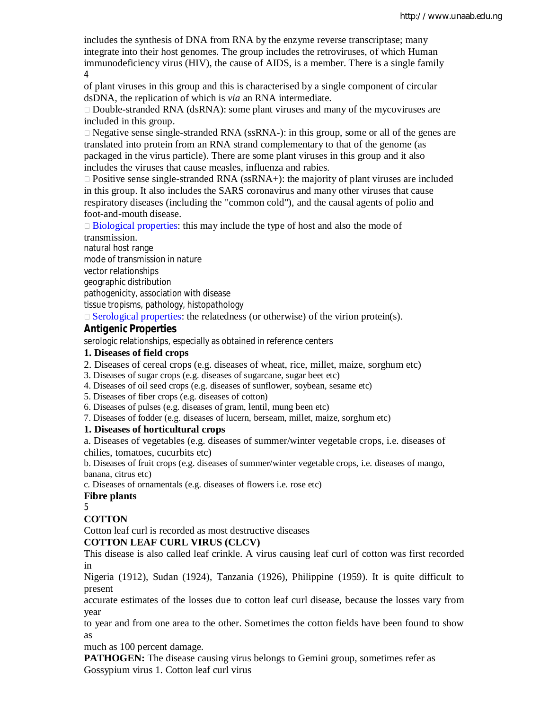includes the synthesis of DNA from RNA by the enzyme reverse transcriptase; many integrate into their host genomes. The group includes the retroviruses, of which Human immunodeficiency virus (HIV), the cause of AIDS, is a member. There is a single family 4

of plant viruses in this group and this is characterised by a single component of circular dsDNA, the replication of which is *via* an RNA intermediate.

 $\Box$  Double-stranded RNA (dsRNA): some plant viruses and many of the mycoviruses are included in this group.

 $\Box$  Negative sense single-stranded RNA (ssRNA-): in this group, some or all of the genes are translated into protein from an RNA strand complementary to that of the genome (as packaged in the virus particle). There are some plant viruses in this group and it also includes the viruses that cause measles, influenza and rabies.

 $\Box$  Positive sense single-stranded RNA (ssRNA+): the majority of plant viruses are included in this group. It also includes the SARS coronavirus and many other viruses that cause respiratory diseases (including the "common cold"), and the causal agents of polio and foot-and-mouth disease.

 $\Box$  Biological properties: this may include the type of host and also the mode of transmission.

natural host range mode of transmission in nature vector relationships geographic distribution pathogenicity, association with disease tissue tropisms, pathology, histopathology

 $\Box$  Serological properties: the relatedness (or otherwise) of the virion protein(s).

# *Antigenic Properties*

serologic relationships, especially as obtained in reference centers

## **1. Diseases of field crops**

- 2. Diseases of cereal crops (e.g. diseases of wheat, rice, millet, maize, sorghum etc)
- 3. Diseases of sugar crops (e.g. diseases of sugarcane, sugar beet etc)
- 4. Diseases of oil seed crops (e.g. diseases of sunflower, soybean, sesame etc)
- 5. Diseases of fiber crops (e.g. diseases of cotton)
- 6. Diseases of pulses (e.g. diseases of gram, lentil, mung been etc)
- 7. Diseases of fodder (e.g. diseases of lucern, berseam, millet, maize, sorghum etc)

## **1. Diseases of horticultural crops**

a. Diseases of vegetables (e.g. diseases of summer/winter vegetable crops, i.e. diseases of chilies, tomatoes, cucurbits etc)

b. Diseases of fruit crops (e.g. diseases of summer/winter vegetable crops, i.e. diseases of mango, banana, citrus etc)

c. Diseases of ornamentals (e.g. diseases of flowers i.e. rose etc)

#### **Fibre plants**

5

## **COTTON**

Cotton leaf curl is recorded as most destructive diseases

## **COTTON LEAF CURL VIRUS (CLCV)**

This disease is also called leaf crinkle. A virus causing leaf curl of cotton was first recorded in

Nigeria (1912), Sudan (1924), Tanzania (1926), Philippine (1959). It is quite difficult to present

accurate estimates of the losses due to cotton leaf curl disease, because the losses vary from year

to year and from one area to the other. Sometimes the cotton fields have been found to show as

much as 100 percent damage.

**PATHOGEN:** The disease causing virus belongs to Gemini group, sometimes refer as Gossypium virus 1. Cotton leaf curl virus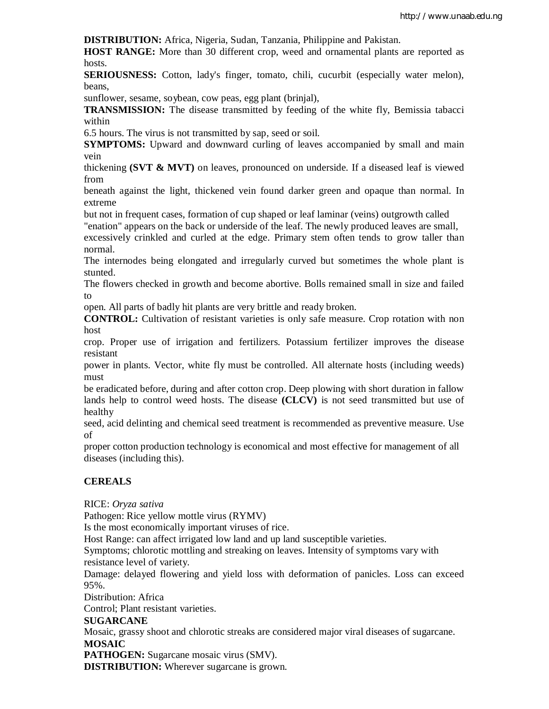**DISTRIBUTION:** Africa, Nigeria, Sudan, Tanzania, Philippine and Pakistan.

**HOST RANGE:** More than 30 different crop, weed and ornamental plants are reported as hosts.

**SERIOUSNESS:** Cotton, lady's finger, tomato, chili, cucurbit (especially water melon), beans,

sunflower, sesame, soybean, cow peas, egg plant (brinjal),

**TRANSMISSION:** The disease transmitted by feeding of the white fly, Bemissia tabacci within

6.5 hours. The virus is not transmitted by sap, seed or soil.

**SYMPTOMS:** Upward and downward curling of leaves accompanied by small and main vein

thickening **(SVT & MVT)** on leaves, pronounced on underside. If a diseased leaf is viewed from

beneath against the light, thickened vein found darker green and opaque than normal. In extreme

but not in frequent cases, formation of cup shaped or leaf laminar (veins) outgrowth called

"enation" appears on the back or underside of the leaf. The newly produced leaves are small,

excessively crinkled and curled at the edge. Primary stem often tends to grow taller than normal.

The internodes being elongated and irregularly curved but sometimes the whole plant is stunted.

The flowers checked in growth and become abortive. Bolls remained small in size and failed to

open. All parts of badly hit plants are very brittle and ready broken.

**CONTROL:** Cultivation of resistant varieties is only safe measure. Crop rotation with non host

crop. Proper use of irrigation and fertilizers. Potassium fertilizer improves the disease resistant

power in plants. Vector, white fly must be controlled. All alternate hosts (including weeds) must

be eradicated before, during and after cotton crop. Deep plowing with short duration in fallow lands help to control weed hosts. The disease **(CLCV)** is not seed transmitted but use of healthy

seed, acid delinting and chemical seed treatment is recommended as preventive measure. Use of

proper cotton production technology is economical and most effective for management of all diseases (including this).

## **CEREALS**

RICE: *Oryza sativa*

Pathogen: Rice yellow mottle virus (RYMV)

Is the most economically important viruses of rice.

Host Range: can affect irrigated low land and up land susceptible varieties.

Symptoms; chlorotic mottling and streaking on leaves. Intensity of symptoms vary with resistance level of variety.

Damage: delayed flowering and yield loss with deformation of panicles. Loss can exceed 95%.

Distribution: Africa

Control; Plant resistant varieties.

## **SUGARCANE**

Mosaic, grassy shoot and chlorotic streaks are considered major viral diseases of sugarcane. **MOSAIC**

**PATHOGEN:** Sugarcane mosaic virus (SMV).

**DISTRIBUTION:** Wherever sugarcane is grown.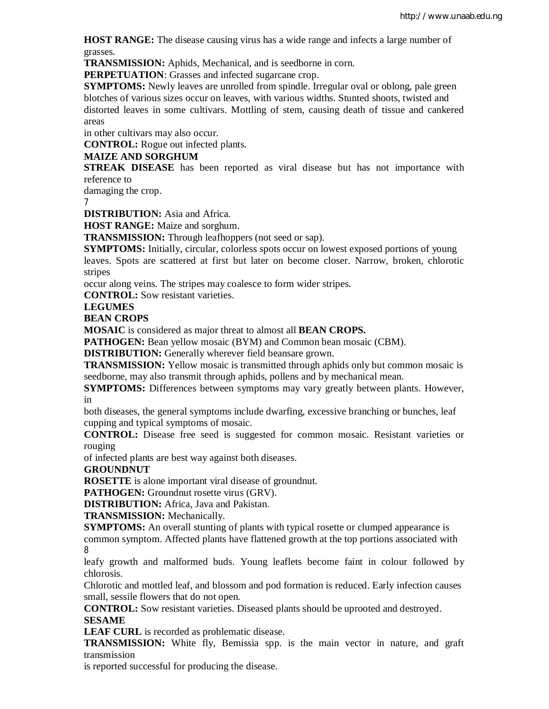**HOST RANGE:** The disease causing virus has a wide range and infects a large number of grasses.

**TRANSMISSION:** Aphids, Mechanical, and is seedborne in corn.

**PERPETUATION:** Grasses and infected sugarcane crop.

**SYMPTOMS:** Newly leaves are unrolled from spindle. Irregular oval or oblong, pale green blotches of various sizes occur on leaves, with various widths. Stunted shoots, twisted and distorted leaves in some cultivars. Mottling of stem, causing death of tissue and cankered areas

in other cultivars may also occur.

**CONTROL:** Rogue out infected plants.

## **MAIZE AND SORGHUM**

**STREAK DISEASE** has been reported as viral disease but has not importance with reference to

damaging the crop.

7

**DISTRIBUTION:** Asia and Africa.

**HOST RANGE:** Maize and sorghum.

**TRANSMISSION:** Through leafhoppers (not seed or sap).

**SYMPTOMS:** Initially, circular, colorless spots occur on lowest exposed portions of young leaves. Spots are scattered at first but later on become closer. Narrow, broken, chlorotic stripes

occur along veins. The stripes may coalesce to form wider stripes.

**CONTROL:** Sow resistant varieties.

## **LEGUMES**

**BEAN CROPS**

**MOSAIC** is considered as major threat to almost all **BEAN CROPS.**

**PATHOGEN:** Bean yellow mosaic (BYM) and Common bean mosaic (CBM).

**DISTRIBUTION:** Generally wherever field beansare grown.

**TRANSMISSION:** Yellow mosaic is transmitted through aphids only but common mosaic is seedborne, may also transmit through aphids, pollens and by mechanical mean.

**SYMPTOMS:** Differences between symptoms may vary greatly between plants. However, in

both diseases, the general symptoms include dwarfing, excessive branching or bunches, leaf cupping and typical symptoms of mosaic.

**CONTROL:** Disease free seed is suggested for common mosaic. Resistant varieties or rouging

of infected plants are best way against both diseases.

**GROUNDNUT**

**ROSETTE** is alone important viral disease of groundnut.

PATHOGEN: Groundnut rosette virus (GRV).

**DISTRIBUTION:** Africa, Java and Pakistan.

**TRANSMISSION:** Mechanically.

**SYMPTOMS:** An overall stunting of plants with typical rosette or clumped appearance is common symptom. Affected plants have flattened growth at the top portions associated with 8

leafy growth and malformed buds. Young leaflets become faint in colour followed by chlorosis.

Chlorotic and mottled leaf, and blossom and pod formation is reduced. Early infection causes small, sessile flowers that do not open.

**CONTROL:** Sow resistant varieties. Diseased plants should be uprooted and destroyed. **SESAME**

**LEAF CURL** is recorded as problematic disease.

**TRANSMISSION:** White fly, Bemissia spp. is the main vector in nature, and graft transmission

is reported successful for producing the disease.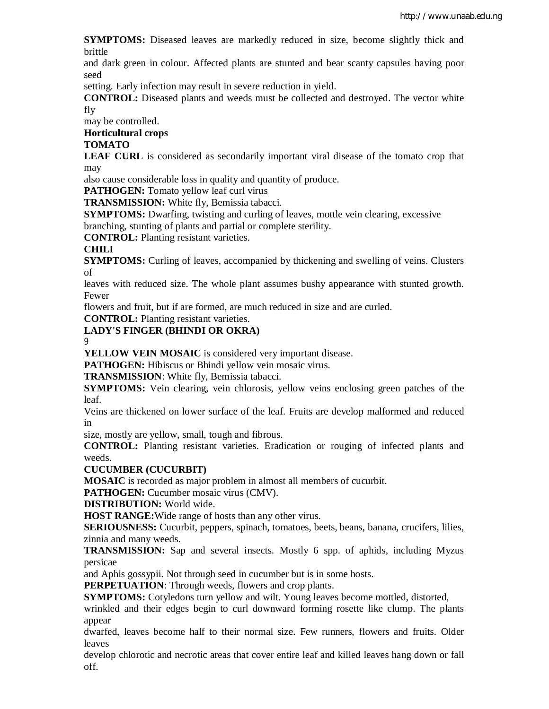**SYMPTOMS:** Diseased leaves are markedly reduced in size, become slightly thick and brittle

and dark green in colour. Affected plants are stunted and bear scanty capsules having poor seed

setting. Early infection may result in severe reduction in yield.

**CONTROL:** Diseased plants and weeds must be collected and destroyed. The vector white fly

may be controlled.

**Horticultural crops**

## **TOMATO**

**LEAF CURL** is considered as secondarily important viral disease of the tomato crop that may

also cause considerable loss in quality and quantity of produce.

**PATHOGEN:** Tomato yellow leaf curl virus

**TRANSMISSION:** White fly, Bemissia tabacci.

**SYMPTOMS:** Dwarfing, twisting and curling of leaves, mottle vein clearing, excessive branching, stunting of plants and partial or complete sterility.

**CONTROL:** Planting resistant varieties.

## **CHILI**

**SYMPTOMS:** Curling of leaves, accompanied by thickening and swelling of veins. Clusters of

leaves with reduced size. The whole plant assumes bushy appearance with stunted growth. Fewer

flowers and fruit, but if are formed, are much reduced in size and are curled.

**CONTROL:** Planting resistant varieties.

## **LADY'S FINGER (BHINDI OR OKRA)**

9

**YELLOW VEIN MOSAIC** is considered very important disease.

PATHOGEN: Hibiscus or Bhindi yellow vein mosaic virus.

**TRANSMISSION**: White fly, Bemissia tabacci.

**SYMPTOMS:** Vein clearing, vein chlorosis, yellow veins enclosing green patches of the leaf.

Veins are thickened on lower surface of the leaf. Fruits are develop malformed and reduced in

size, mostly are yellow, small, tough and fibrous.

**CONTROL:** Planting resistant varieties. Eradication or rouging of infected plants and weeds.

## **CUCUMBER (CUCURBIT)**

**MOSAIC** is recorded as major problem in almost all members of cucurbit.

**PATHOGEN:** Cucumber mosaic virus (CMV).

**DISTRIBUTION:** World wide.

**HOST RANGE:**Wide range of hosts than any other virus.

**SERIOUSNESS:** Cucurbit, peppers, spinach, tomatoes, beets, beans, banana, crucifers, lilies, zinnia and many weeds.

**TRANSMISSION:** Sap and several insects. Mostly 6 spp. of aphids, including Myzus persicae

and Aphis gossypii. Not through seed in cucumber but is in some hosts.

**PERPETUATION**: Through weeds, flowers and crop plants.

**SYMPTOMS:** Cotyledons turn yellow and wilt. Young leaves become mottled, distorted,

wrinkled and their edges begin to curl downward forming rosette like clump. The plants appear

dwarfed, leaves become half to their normal size. Few runners, flowers and fruits. Older leaves

develop chlorotic and necrotic areas that cover entire leaf and killed leaves hang down or fall off.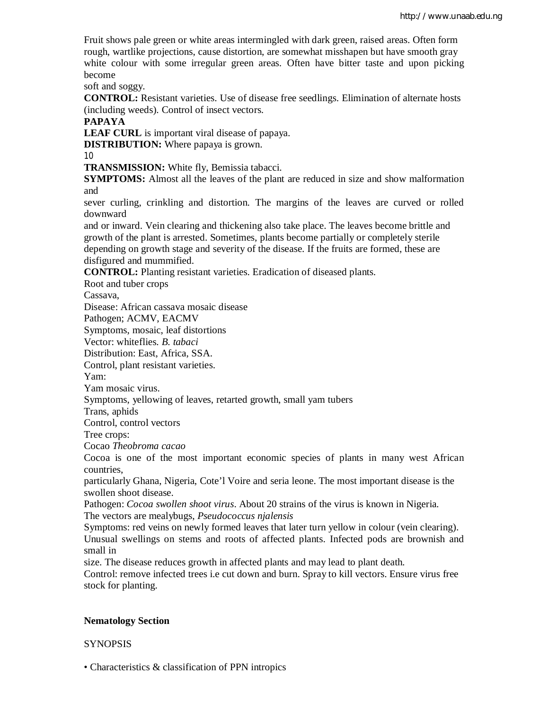Fruit shows pale green or white areas intermingled with dark green, raised areas. Often form rough, wartlike projections, cause distortion, are somewhat misshapen but have smooth gray white colour with some irregular green areas. Often have bitter taste and upon picking become

soft and soggy.

**CONTROL:** Resistant varieties. Use of disease free seedlings. Elimination of alternate hosts (including weeds). Control of insect vectors.

**PAPAYA**

**LEAF CURL** is important viral disease of papaya.

**DISTRIBUTION:** Where papaya is grown.

10

**TRANSMISSION:** White fly, Bemissia tabacci.

**SYMPTOMS:** Almost all the leaves of the plant are reduced in size and show malformation and

sever curling, crinkling and distortion. The margins of the leaves are curved or rolled downward

and or inward. Vein clearing and thickening also take place. The leaves become brittle and growth of the plant is arrested. Sometimes, plants become partially or completely sterile depending on growth stage and severity of the disease. If the fruits are formed, these are disfigured and mummified.

**CONTROL:** Planting resistant varieties. Eradication of diseased plants.

Root and tuber crops

Cassava,

Disease: African cassava mosaic disease

Pathogen; ACMV, EACMV

Symptoms, mosaic, leaf distortions

Vector: whiteflies. *B. tabaci*

Distribution: East, Africa, SSA.

Control, plant resistant varieties.

Yam:

Yam mosaic virus.

Symptoms, yellowing of leaves, retarted growth, small yam tubers

Trans, aphids

Control, control vectors

Tree crops:

Cocao *Theobroma cacao*

Cocoa is one of the most important economic species of plants in many west African countries,

particularly Ghana, Nigeria, Cote'l Voire and seria leone. The most important disease is the swollen shoot disease.

Pathogen: *Cocoa swollen shoot virus*. About 20 strains of the virus is known in Nigeria. The vectors are mealybugs, *Pseudococcus njalensis*

Symptoms: red veins on newly formed leaves that later turn yellow in colour (vein clearing). Unusual swellings on stems and roots of affected plants. Infected pods are brownish and small in

size. The disease reduces growth in affected plants and may lead to plant death.

Control: remove infected trees i.e cut down and burn. Spray to kill vectors. Ensure virus free stock for planting.

## **Nematology Section**

## SYNOPSIS

• Characteristics & classification of PPN intropics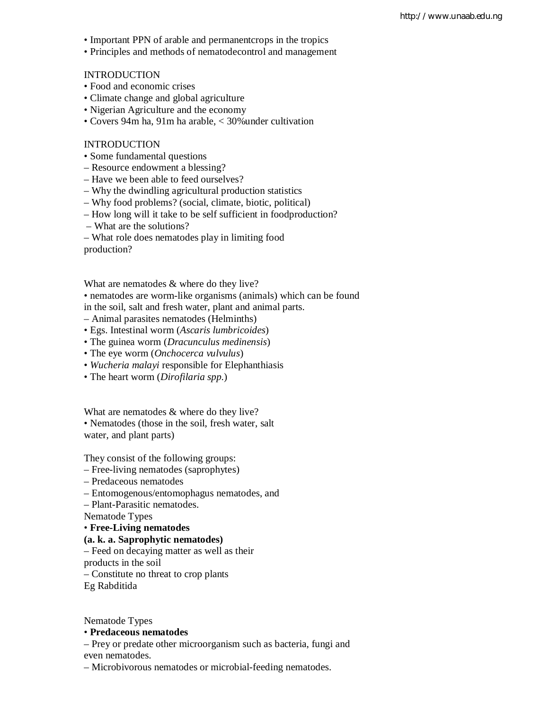- Important PPN of arable and permanentcrops in the tropics
- Principles and methods of nematodecontrol and management

#### **INTRODUCTION**

- Food and economic crises
- Climate change and global agriculture
- Nigerian Agriculture and the economy
- Covers 94m ha, 91m ha arable, < 30%under cultivation

#### INTRODUCTION

- Some fundamental questions
- Resource endowment a blessing?
- Have we been able to feed ourselves?
- Why the dwindling agricultural production statistics
- Why food problems? (social, climate, biotic, political)
- How long will it take to be self sufficient in foodproduction?
- What are the solutions?
- What role does nematodes play in limiting food

production?

What are nematodes & where do they live?

- nematodes are worm-like organisms (animals) which can be found
- in the soil, salt and fresh water, plant and animal parts.
- Animal parasites nematodes (Helminths)
- Egs. Intestinal worm (*Ascaris lumbricoides*)
- The guinea worm (*Dracunculus medinensis*)
- The eye worm (*Onchocerca vulvulus*)
- *Wucheria malayi* responsible for Elephanthiasis
- The heart worm (*Dirofilaria spp*.)

What are nematodes & where do they live?

• Nematodes (those in the soil, fresh water, salt water, and plant parts)

They consist of the following groups:

- Free-living nematodes (saprophytes)
- Predaceous nematodes
- Entomogenous/entomophagus nematodes, and

– Plant-Parasitic nematodes.

Nematode Types

• **Free-Living nematodes**

#### **(a. k. a. Saprophytic nematodes)**

– Feed on decaying matter as well as their

products in the soil

– Constitute no threat to crop plants

Eg Rabditida

Nematode Types

# • **Predaceous nematodes**

– Prey or predate other microorganism such as bacteria, fungi and even nematodes.

– Microbivorous nematodes or microbial-feeding nematodes.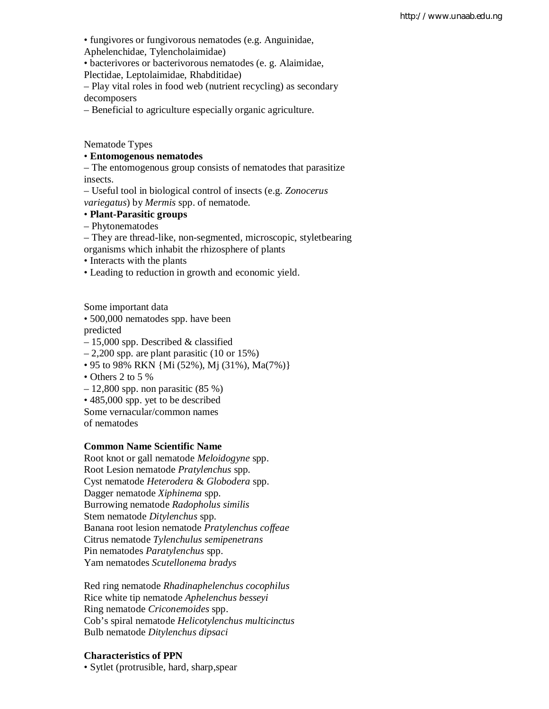• fungivores or fungivorous nematodes (e.g. Anguinidae,

Aphelenchidae, Tylencholaimidae)

• bacterivores or bacterivorous nematodes (e. g. Alaimidae,

Plectidae, Leptolaimidae, Rhabditidae)

– Play vital roles in food web (nutrient recycling) as secondary decomposers

– Beneficial to agriculture especially organic agriculture.

Nematode Types

## • **Entomogenous nematodes**

– The entomogenous group consists of nematodes that parasitize insects.

– Useful tool in biological control of insects (e.g. *Zonocerus variegatus*) by *Mermis* spp. of nematode.

## • **Plant-Parasitic groups**

– Phytonematodes

– They are thread-like, non-segmented, microscopic, styletbearing

organisms which inhabit the rhizosphere of plants

• Interacts with the plants

• Leading to reduction in growth and economic yield.

Some important data

• 500,000 nematodes spp. have been

predicted

– 15,000 spp. Described & classified

 $-2,200$  spp. are plant parasitic (10 or 15%)

- 95 to 98% RKN {Mi (52%), Mj (31%), Ma(7%)}
- Others 2 to 5 %
- $-12,800$  spp. non parasitic  $(85\%)$
- 485,000 spp. yet to be described

Some vernacular/common names

of nematodes

#### **Common Name Scientific Name**

Root knot or gall nematode *Meloidogyne* spp. Root Lesion nematode *Pratylenchus* spp. Cyst nematode *Heterodera* & *Globodera* spp. Dagger nematode *Xiphinema* spp. Burrowing nematode *Radopholus similis* Stem nematode *Ditylenchus* spp. Banana root lesion nematode *Pratylenchus coffeae* Citrus nematode *Tylenchulus semipenetrans* Pin nematodes *Paratylenchus* spp. Yam nematodes *Scutellonema bradys*

Red ring nematode *Rhadinaphelenchus cocophilus* Rice white tip nematode *Aphelenchus besseyi* Ring nematode *Criconemoides* spp. Cob's spiral nematode *Helicotylenchus multicinctus* Bulb nematode *Ditylenchus dipsaci*

## **Characteristics of PPN**

• Sytlet (protrusible, hard, sharp,spear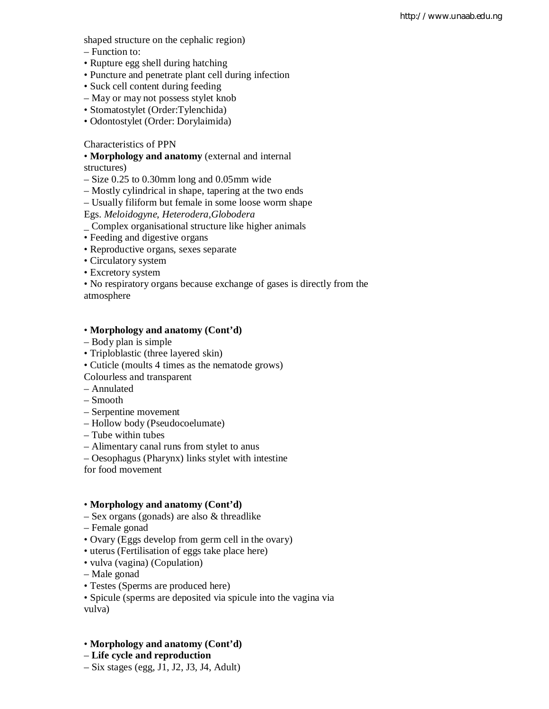shaped structure on the cephalic region)

- Function to:
- Rupture egg shell during hatching
- Puncture and penetrate plant cell during infection
- Suck cell content during feeding
- May or may not possess stylet knob
- Stomatostylet (Order:Tylenchida)
- Odontostylet (Order: Dorylaimida)

## Characteristics of PPN

• **Morphology and anatomy** (external and internal

structures)

– Size 0.25 to 0.30mm long and 0.05mm wide

- Mostly cylindrical in shape, tapering at the two ends
- Usually filiform but female in some loose worm shape

Egs. *Meloidogyne*, *Heterodera,Globodera*

- \_ Complex organisational structure like higher animals
- Feeding and digestive organs
- Reproductive organs, sexes separate
- Circulatory system
- Excretory system

• No respiratory organs because exchange of gases is directly from the atmosphere

## • **Morphology and anatomy (Cont'd)**

- Body plan is simple
- Triploblastic (three layered skin)
- Cuticle (moults 4 times as the nematode grows)
- Colourless and transparent
- Annulated
- Smooth
- Serpentine movement
- Hollow body (Pseudocoelumate)
- Tube within tubes
- Alimentary canal runs from stylet to anus
- Oesophagus (Pharynx) links stylet with intestine
- for food movement

## • **Morphology and anatomy (Cont'd)**

- Sex organs (gonads) are also & threadlike
- Female gonad
- Ovary (Eggs develop from germ cell in the ovary)
- uterus (Fertilisation of eggs take place here)
- vulva (vagina) (Copulation)
- Male gonad
- Testes (Sperms are produced here)
- Spicule (sperms are deposited via spicule into the vagina via vulva)
- **Morphology and anatomy (Cont'd)**
- **Life cycle and reproduction**
- Six stages (egg, J1, J2, J3, J4, Adult)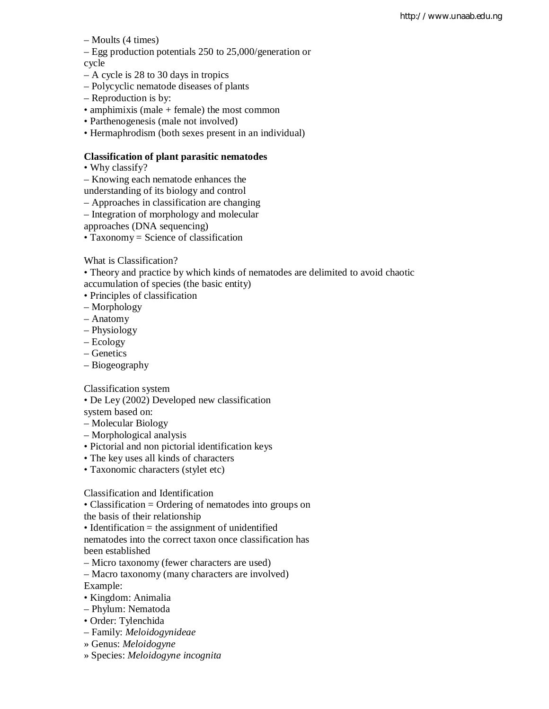– Moults (4 times)

– Egg production potentials 250 to 25,000/generation or

cycle

- A cycle is 28 to 30 days in tropics
- Polycyclic nematode diseases of plants
- Reproduction is by:
- amphimixis (male + female) the most common
- Parthenogenesis (male not involved)
- Hermaphrodism (both sexes present in an individual)

## **Classification of plant parasitic nematodes**

- Why classify?
- Knowing each nematode enhances the
- understanding of its biology and control
- Approaches in classification are changing
- Integration of morphology and molecular

approaches (DNA sequencing)

• Taxonomy = Science of classification

What is Classification?

• Theory and practice by which kinds of nematodes are delimited to avoid chaotic accumulation of species (the basic entity)

- Principles of classification
- Morphology
- Anatomy
- Physiology
- Ecology
- Genetics
- Biogeography

Classification system

- De Ley (2002) Developed new classification
- system based on:
- Molecular Biology
- Morphological analysis
- Pictorial and non pictorial identification keys
- The key uses all kinds of characters
- Taxonomic characters (stylet etc)

Classification and Identification

• Classification = Ordering of nematodes into groups on

the basis of their relationship

• Identification = the assignment of unidentified

nematodes into the correct taxon once classification has been established

– Micro taxonomy (fewer characters are used)

– Macro taxonomy (many characters are involved) Example:

• Kingdom: Animalia

- Phylum: Nematoda
- Order: Tylenchida
- Family: *Meloidogynideae*
- » Genus: *Meloidogyne*
- » Species: *Meloidogyne incognita*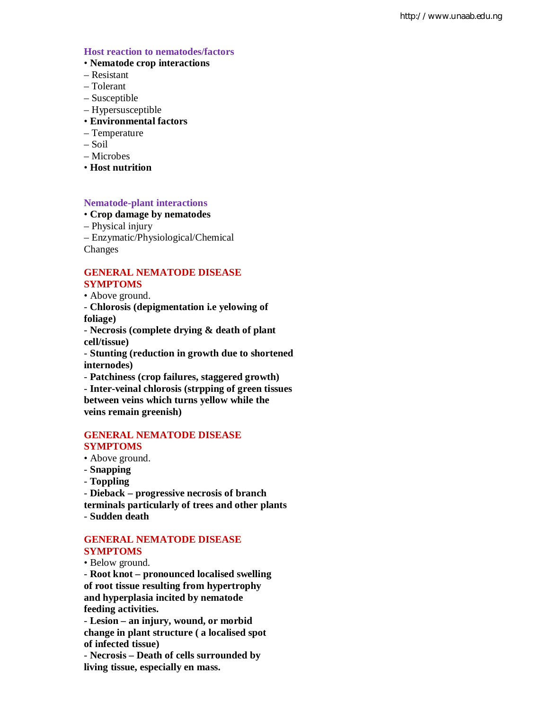#### **Host reaction to nematodes/factors**

- **Nematode crop interactions**
- Resistant
- Tolerant
- Susceptible
- Hypersusceptible
- **Environmental factors**
- Temperature
- Soil
- Microbes
- **Host nutrition**

## **Nematode-plant interactions**

## • **Crop damage by nematodes**

– Physical injury

– Enzymatic/Physiological/Chemical Changes

## **GENERAL NEMATODE DISEASE SYMPTOMS**

- Above ground.
- **Chlorosis (depigmentation i.e yelowing of foliage)**

- **Necrosis (complete drying & death of plant cell/tissue)**

- **Stunting (reduction in growth due to shortened internodes)**

- **Patchiness (crop failures, staggered growth)**

- **Inter-veinal chlorosis (strpping of green tissues between veins which turns yellow while the veins remain greenish)**

### **GENERAL NEMATODE DISEASE SYMPTOMS**

- Above ground.
- **Snapping**
- **Toppling**

- **Dieback – progressive necrosis of branch terminals particularly of trees and other plants** - **Sudden death**

## **GENERAL NEMATODE DISEASE SYMPTOMS**

• Below ground.

- **Root knot – pronounced localised swelling of root tissue resulting from hypertrophy and hyperplasia incited by nematode feeding activities.**

- **Lesion – an injury, wound, or morbid change in plant structure ( a localised spot of infected tissue)**

- **Necrosis – Death of cells surrounded by living tissue, especially en mass.**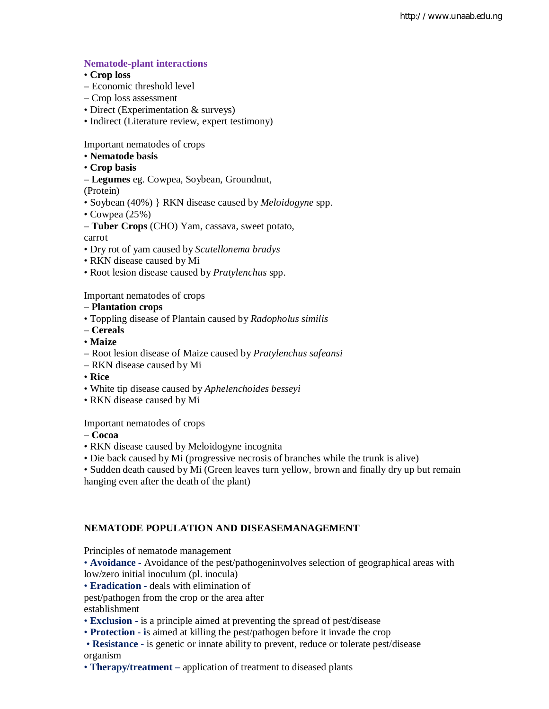## **Nematode-plant interactions**

- **Crop loss**
- Economic threshold level
- Crop loss assessment
- Direct (Experimentation & surveys)
- Indirect (Literature review, expert testimony)

Important nematodes of crops

- **Nematode basis**
- **Crop basis**
- **Legumes** eg. Cowpea, Soybean, Groundnut,

(Protein)

- Soybean (40%) } RKN disease caused by *Meloidogyne* spp.
- Cowpea (25%)
- **Tuber Crops** (CHO) Yam, cassava, sweet potato,

carrot

- Dry rot of yam caused by *Scutellonema bradys*
- RKN disease caused by Mi
- Root lesion disease caused by *Pratylenchus* spp.

Important nematodes of crops

## – **Plantation crops**

- Toppling disease of Plantain caused by *Radopholus similis*
- **Cereals**
- **Maize**
- Root lesion disease of Maize caused by *Pratylenchus safeansi*
- RKN disease caused by Mi
- **Rice**
- White tip disease caused by *Aphelenchoides besseyi*
- RKN disease caused by Mi

#### Important nematodes of crops

- **Cocoa**
- RKN disease caused by Meloidogyne incognita
- Die back caused by Mi (progressive necrosis of branches while the trunk is alive)

• Sudden death caused by Mi (Green leaves turn yellow, brown and finally dry up but remain hanging even after the death of the plant)

## **NEMATODE POPULATION AND DISEASEMANAGEMENT**

Principles of nematode management

• **Avoidance -** Avoidance of the pest/pathogeninvolves selection of geographical areas with low/zero initial inoculum (pl. inocula)

• **Eradication -** deals with elimination of

pest/pathogen from the crop or the area after

establishment

- **Exclusion -** is a principle aimed at preventing the spread of pest/disease
- **Protection - i**s aimed at killing the pest/pathogen before it invade the crop
- **Resistance -** is genetic or innate ability to prevent, reduce or tolerate pest/disease organism
- **Therapy/treatment** application of treatment to diseased plants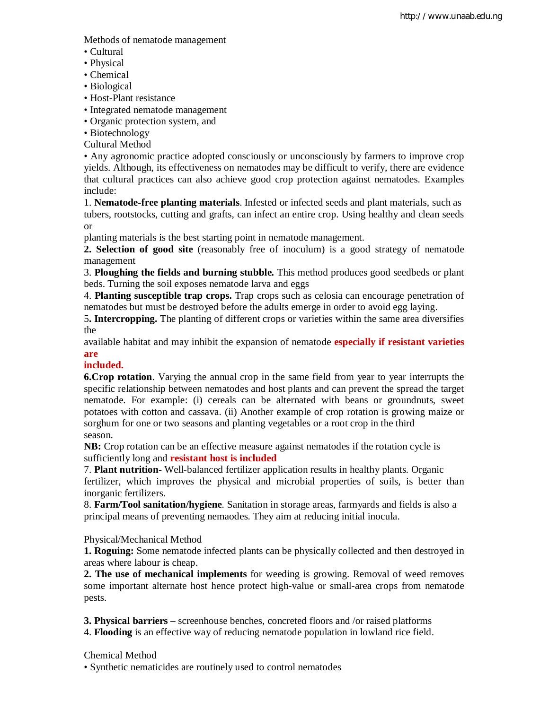Methods of nematode management

- Cultural
- Physical
- Chemical
- Biological
- Host-Plant resistance
- Integrated nematode management
- Organic protection system, and
- Biotechnology
- Cultural Method

• Any agronomic practice adopted consciously or unconsciously by farmers to improve crop yields. Although, its effectiveness on nematodes may be difficult to verify, there are evidence that cultural practices can also achieve good crop protection against nematodes. Examples include:

1. **Nematode-free planting materials**. Infested or infected seeds and plant materials, such as tubers, rootstocks, cutting and grafts, can infect an entire crop. Using healthy and clean seeds or

planting materials is the best starting point in nematode management.

**2. Selection of good site** (reasonably free of inoculum) is a good strategy of nematode management

3. **Ploughing the fields and burning stubble.** This method produces good seedbeds or plant beds. Turning the soil exposes nematode larva and eggs

4. **Planting susceptible trap crops.** Trap crops such as celosia can encourage penetration of nematodes but must be destroyed before the adults emerge in order to avoid egg laying.

5**. Intercropping.** The planting of different crops or varieties within the same area diversifies the

available habitat and may inhibit the expansion of nematode **especially if resistant varieties are**

## **included.**

**6.Crop rotation**. Varying the annual crop in the same field from year to year interrupts the specific relationship between nematodes and host plants and can prevent the spread the target nematode. For example: (i) cereals can be alternated with beans or groundnuts, sweet potatoes with cotton and cassava. (ii) Another example of crop rotation is growing maize or sorghum for one or two seasons and planting vegetables or a root crop in the third season.

**NB:** Crop rotation can be an effective measure against nematodes if the rotation cycle is sufficiently long and **resistant host is included**

7. **Plant nutrition-** Well-balanced fertilizer application results in healthy plants. Organic fertilizer, which improves the physical and microbial properties of soils, is better than inorganic fertilizers.

8. **Farm/Tool sanitation/hygiene**. Sanitation in storage areas, farmyards and fields is also a principal means of preventing nemaodes. They aim at reducing initial inocula.

## Physical/Mechanical Method

**1. Roguing:** Some nematode infected plants can be physically collected and then destroyed in areas where labour is cheap.

**2. The use of mechanical implements** for weeding is growing. Removal of weed removes some important alternate host hence protect high-value or small-area crops from nematode pests.

**3. Physical barriers –** screenhouse benches, concreted floors and /or raised platforms

4. **Flooding** is an effective way of reducing nematode population in lowland rice field.

## Chemical Method

• Synthetic nematicides are routinely used to control nematodes